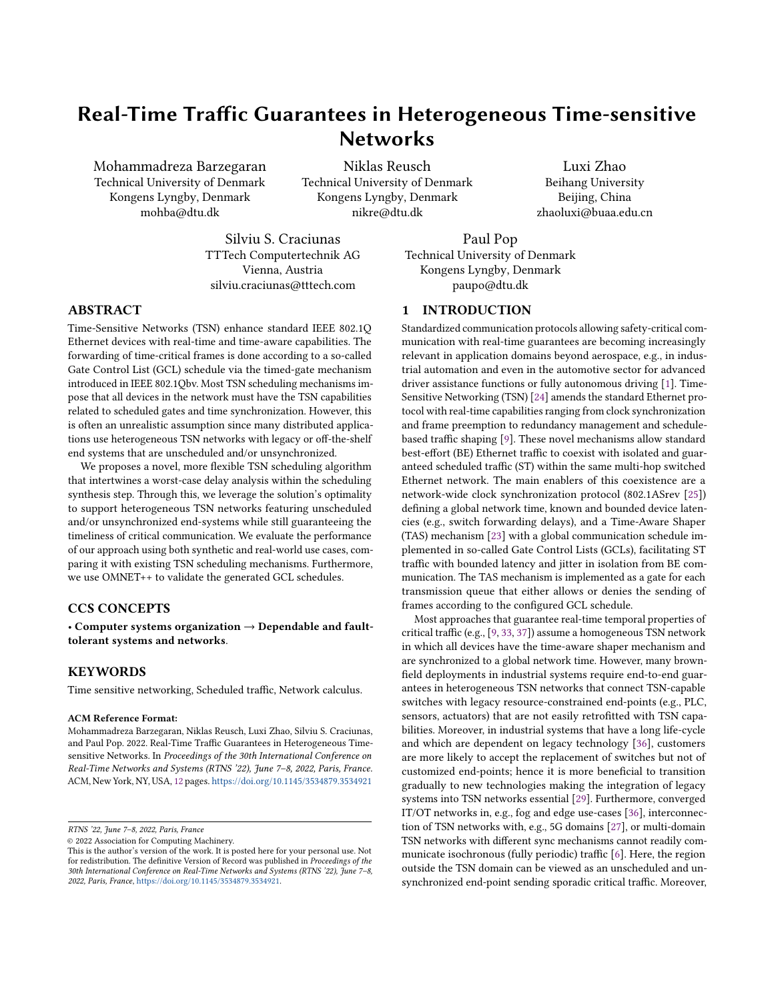# Real-Time Traffic Guarantees in Heterogeneous Time-sensitive **Networks**

Mohammadreza Barzegaran Technical University of Denmark Kongens Lyngby, Denmark mohba@dtu.dk

Niklas Reusch Technical University of Denmark Kongens Lyngby, Denmark nikre@dtu.dk

Luxi Zhao Beihang University Beijing, China zhaoluxi@buaa.edu.cn

Silviu S. Craciunas TTTech Computertechnik AG Vienna, Austria silviu.craciunas@tttech.com

Paul Pop Technical University of Denmark Kongens Lyngby, Denmark paupo@dtu.dk

#### ABSTRACT

Time-Sensitive Networks (TSN) enhance standard IEEE 802.1Q Ethernet devices with real-time and time-aware capabilities. The forwarding of time-critical frames is done according to a so-called Gate Control List (GCL) schedule via the timed-gate mechanism introduced in IEEE 802.1Qbv. Most TSN scheduling mechanisms impose that all devices in the network must have the TSN capabilities related to scheduled gates and time synchronization. However, this is often an unrealistic assumption since many distributed applications use heterogeneous TSN networks with legacy or off-the-shelf end systems that are unscheduled and/or unsynchronized.

We proposes a novel, more flexible TSN scheduling algorithm that intertwines a worst-case delay analysis within the scheduling synthesis step. Through this, we leverage the solution's optimality to support heterogeneous TSN networks featuring unscheduled and/or unsynchronized end-systems while still guaranteeing the timeliness of critical communication. We evaluate the performance of our approach using both synthetic and real-world use cases, comparing it with existing TSN scheduling mechanisms. Furthermore, we use OMNET++ to validate the generated GCL schedules.

## CCS CONCEPTS

• Computer systems organization  $\rightarrow$  Dependable and faulttolerant systems and networks.

#### KEYWORDS

Time sensitive networking, Scheduled traffic, Network calculus.

#### ACM Reference Format:

Mohammadreza Barzegaran, Niklas Reusch, Luxi Zhao, Silviu S. Craciunas, and Paul Pop. 2022. Real-Time Traffic Guarantees in Heterogeneous Timesensitive Networks. In Proceedings of the 30th International Conference on Real-Time Networks and Systems (RTNS '22), June 7–8, 2022, Paris, France. ACM, New York, NY, USA, [12](#page-11-0) pages. <https://doi.org/10.1145/3534879.3534921>

© 2022 Association for Computing Machinery.

#### 1 INTRODUCTION

Standardized communication protocols allowing safety-critical communication with real-time guarantees are becoming increasingly relevant in application domains beyond aerospace, e.g., in industrial automation and even in the automotive sector for advanced driver assistance functions or fully autonomous driving [\[1\]](#page-10-0). Time-Sensitive Networking (TSN) [\[24\]](#page-10-1) amends the standard Ethernet protocol with real-time capabilities ranging from clock synchronization and frame preemption to redundancy management and schedulebased traffic shaping [\[9\]](#page-10-2). These novel mechanisms allow standard best-effort (BE) Ethernet traffic to coexist with isolated and guaranteed scheduled traffic (ST) within the same multi-hop switched Ethernet network. The main enablers of this coexistence are a network-wide clock synchronization protocol (802.1ASrev [\[25\]](#page-10-3)) defining a global network time, known and bounded device latencies (e.g., switch forwarding delays), and a Time-Aware Shaper (TAS) mechanism [\[23\]](#page-10-4) with a global communication schedule implemented in so-called Gate Control Lists (GCLs), facilitating ST traffic with bounded latency and jitter in isolation from BE communication. The TAS mechanism is implemented as a gate for each transmission queue that either allows or denies the sending of frames according to the configured GCL schedule.

Most approaches that guarantee real-time temporal properties of critical traffic (e.g., [\[9,](#page-10-2) [33,](#page-11-1) [37\]](#page-11-2)) assume a homogeneous TSN network in which all devices have the time-aware shaper mechanism and are synchronized to a global network time. However, many brownfield deployments in industrial systems require end-to-end guarantees in heterogeneous TSN networks that connect TSN-capable switches with legacy resource-constrained end-points (e.g., PLC, sensors, actuators) that are not easily retrofitted with TSN capabilities. Moreover, in industrial systems that have a long life-cycle and which are dependent on legacy technology [\[36\]](#page-11-3), customers are more likely to accept the replacement of switches but not of customized end-points; hence it is more beneficial to transition gradually to new technologies making the integration of legacy systems into TSN networks essential [\[29\]](#page-11-4). Furthermore, converged IT/OT networks in, e.g., fog and edge use-cases [\[36\]](#page-11-3), interconnection of TSN networks with, e.g., 5G domains [\[27\]](#page-10-5), or multi-domain TSN networks with different sync mechanisms cannot readily communicate isochronous (fully periodic) traffic [\[6\]](#page-10-6). Here, the region outside the TSN domain can be viewed as an unscheduled and unsynchronized end-point sending sporadic critical traffic. Moreover,

RTNS '22, June 7–8, 2022, Paris, France

This is the author's version of the work. It is posted here for your personal use. Not for redistribution. The definitive Version of Record was published in Proceedings of the 30th International Conference on Real-Time Networks and Systems (RTNS '22), June 7–8, 2022, Paris, France, [https://doi.org/10.1145/3534879.3534921.](https://doi.org/10.1145/3534879.3534921)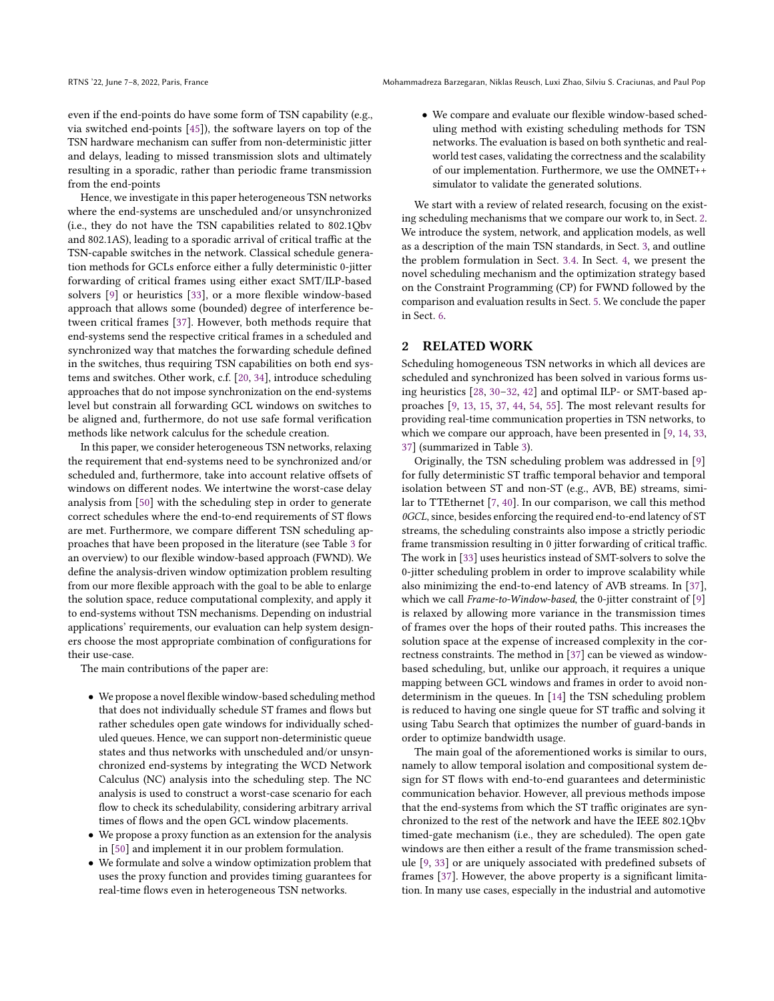even if the end-points do have some form of TSN capability (e.g., via switched end-points [\[45\]](#page-11-5)), the software layers on top of the TSN hardware mechanism can suffer from non-deterministic jitter and delays, leading to missed transmission slots and ultimately resulting in a sporadic, rather than periodic frame transmission from the end-points

Hence, we investigate in this paper heterogeneous TSN networks where the end-systems are unscheduled and/or unsynchronized (i.e., they do not have the TSN capabilities related to 802.1Qbv and 802.1AS), leading to a sporadic arrival of critical traffic at the TSN-capable switches in the network. Classical schedule generation methods for GCLs enforce either a fully deterministic 0-jitter forwarding of critical frames using either exact SMT/ILP-based solvers [\[9\]](#page-10-2) or heuristics [\[33\]](#page-11-1), or a more flexible window-based approach that allows some (bounded) degree of interference between critical frames [\[37\]](#page-11-2). However, both methods require that end-systems send the respective critical frames in a scheduled and synchronized way that matches the forwarding schedule defined in the switches, thus requiring TSN capabilities on both end systems and switches. Other work, c.f. [\[20,](#page-10-7) [34\]](#page-11-6), introduce scheduling approaches that do not impose synchronization on the end-systems level but constrain all forwarding GCL windows on switches to be aligned and, furthermore, do not use safe formal verification methods like network calculus for the schedule creation.

In this paper, we consider heterogeneous TSN networks, relaxing the requirement that end-systems need to be synchronized and/or scheduled and, furthermore, take into account relative offsets of windows on different nodes. We intertwine the worst-case delay analysis from [\[50\]](#page-11-7) with the scheduling step in order to generate correct schedules where the end-to-end requirements of ST flows are met. Furthermore, we compare different TSN scheduling approaches that have been proposed in the literature (see Table [3](#page-8-0) for an overview) to our flexible window-based approach (FWND). We define the analysis-driven window optimization problem resulting from our more flexible approach with the goal to be able to enlarge the solution space, reduce computational complexity, and apply it to end-systems without TSN mechanisms. Depending on industrial applications' requirements, our evaluation can help system designers choose the most appropriate combination of configurations for their use-case.

The main contributions of the paper are:

- We propose a novel flexible window-based scheduling method that does not individually schedule ST frames and flows but rather schedules open gate windows for individually scheduled queues. Hence, we can support non-deterministic queue states and thus networks with unscheduled and/or unsynchronized end-systems by integrating the WCD Network Calculus (NC) analysis into the scheduling step. The NC analysis is used to construct a worst-case scenario for each flow to check its schedulability, considering arbitrary arrival times of flows and the open GCL window placements.
- We propose a proxy function as an extension for the analysis in [\[50\]](#page-11-7) and implement it in our problem formulation.
- We formulate and solve a window optimization problem that uses the proxy function and provides timing guarantees for real-time flows even in heterogeneous TSN networks.

• We compare and evaluate our flexible window-based scheduling method with existing scheduling methods for TSN networks. The evaluation is based on both synthetic and realworld test cases, validating the correctness and the scalability of our implementation. Furthermore, we use the OMNET++ simulator to validate the generated solutions.

We start with a review of related research, focusing on the existing scheduling mechanisms that we compare our work to, in Sect. [2.](#page-1-0) We introduce the system, network, and application models, as well as a description of the main TSN standards, in Sect. [3,](#page-2-0) and outline the problem formulation in Sect. [3.4.](#page-3-0) In Sect. [4,](#page-3-1) we present the novel scheduling mechanism and the optimization strategy based on the Constraint Programming (CP) for FWND followed by the comparison and evaluation results in Sect. [5.](#page-7-0) We conclude the paper in Sect. [6.](#page-10-8)

#### <span id="page-1-0"></span>2 RELATED WORK

Scheduling homogeneous TSN networks in which all devices are scheduled and synchronized has been solved in various forms using heuristics [\[28,](#page-11-8) [30–](#page-11-9)[32,](#page-11-10) [42\]](#page-11-11) and optimal ILP- or SMT-based approaches [\[9,](#page-10-2) [13,](#page-10-9) [15,](#page-10-10) [37,](#page-11-2) [44,](#page-11-12) [54,](#page-11-13) [55\]](#page-11-14). The most relevant results for providing real-time communication properties in TSN networks, to which we compare our approach, have been presented in [\[9,](#page-10-2) [14,](#page-10-11) [33,](#page-11-1) [37\]](#page-11-2) (summarized in Table [3\)](#page-8-0).

Originally, the TSN scheduling problem was addressed in [\[9\]](#page-10-2) for fully deterministic ST traffic temporal behavior and temporal isolation between ST and non-ST (e.g., AVB, BE) streams, similar to TTEthernet [\[7,](#page-10-12) [40\]](#page-11-15). In our comparison, we call this method 0GCL, since, besides enforcing the required end-to-end latency of ST streams, the scheduling constraints also impose a strictly periodic frame transmission resulting in 0 jitter forwarding of critical traffic. The work in [\[33\]](#page-11-1) uses heuristics instead of SMT-solvers to solve the 0-jitter scheduling problem in order to improve scalability while also minimizing the end-to-end latency of AVB streams. In [\[37\]](#page-11-2), which we call *Frame-to-Window-based*, the 0-jitter constraint of [\[9\]](#page-10-2) is relaxed by allowing more variance in the transmission times of frames over the hops of their routed paths. This increases the solution space at the expense of increased complexity in the correctness constraints. The method in [\[37\]](#page-11-2) can be viewed as windowbased scheduling, but, unlike our approach, it requires a unique mapping between GCL windows and frames in order to avoid nondeterminism in the queues. In [\[14\]](#page-10-11) the TSN scheduling problem is reduced to having one single queue for ST traffic and solving it using Tabu Search that optimizes the number of guard-bands in order to optimize bandwidth usage.

The main goal of the aforementioned works is similar to ours, namely to allow temporal isolation and compositional system design for ST flows with end-to-end guarantees and deterministic communication behavior. However, all previous methods impose that the end-systems from which the ST traffic originates are synchronized to the rest of the network and have the IEEE 802.1Qbv timed-gate mechanism (i.e., they are scheduled). The open gate windows are then either a result of the frame transmission schedule [\[9,](#page-10-2) [33\]](#page-11-1) or are uniquely associated with predefined subsets of frames [\[37\]](#page-11-2). However, the above property is a significant limitation. In many use cases, especially in the industrial and automotive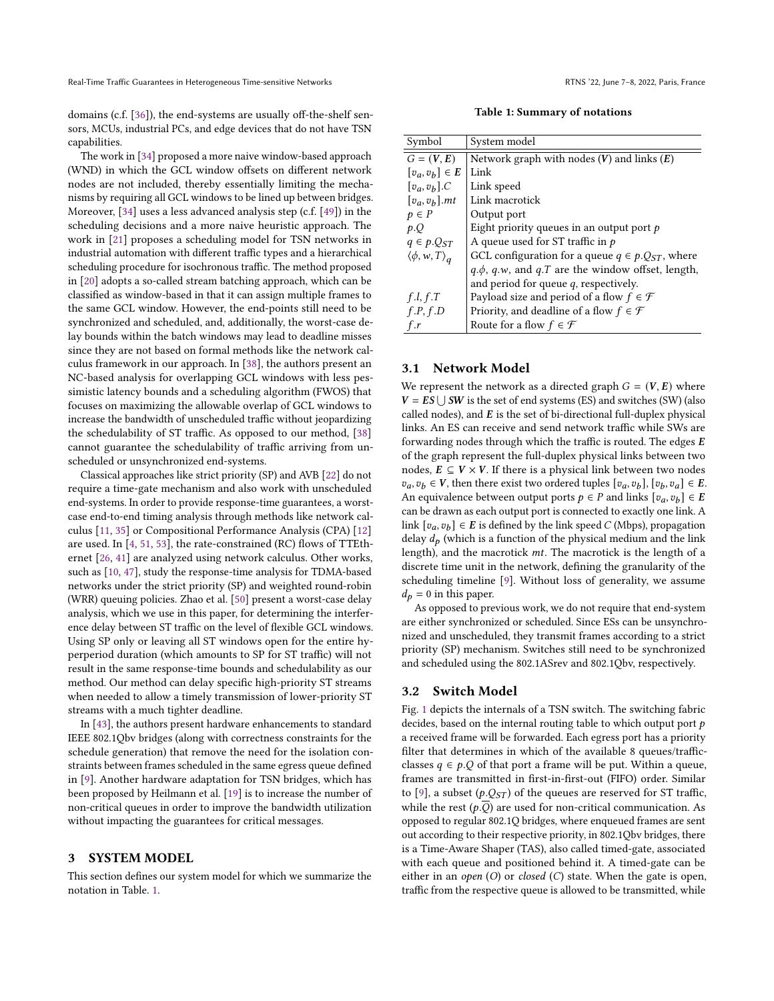domains (c.f. [\[36\]](#page-11-3)), the end-systems are usually off-the-shelf sensors, MCUs, industrial PCs, and edge devices that do not have TSN capabilities.

The work in [\[34\]](#page-11-6) proposed a more naive window-based approach (WND) in which the GCL window offsets on different network nodes are not included, thereby essentially limiting the mechanisms by requiring all GCL windows to be lined up between bridges. Moreover, [\[34\]](#page-11-6) uses a less advanced analysis step (c.f. [\[49\]](#page-11-16)) in the scheduling decisions and a more naive heuristic approach. The work in [\[21\]](#page-10-13) proposes a scheduling model for TSN networks in industrial automation with different traffic types and a hierarchical scheduling procedure for isochronous traffic. The method proposed in [\[20\]](#page-10-7) adopts a so-called stream batching approach, which can be classified as window-based in that it can assign multiple frames to the same GCL window. However, the end-points still need to be synchronized and scheduled, and, additionally, the worst-case delay bounds within the batch windows may lead to deadline misses since they are not based on formal methods like the network calculus framework in our approach. In [\[38\]](#page-11-17), the authors present an NC-based analysis for overlapping GCL windows with less pessimistic latency bounds and a scheduling algorithm (FWOS) that focuses on maximizing the allowable overlap of GCL windows to increase the bandwidth of unscheduled traffic without jeopardizing the schedulability of ST traffic. As opposed to our method, [\[38\]](#page-11-17) cannot guarantee the schedulability of traffic arriving from unscheduled or unsynchronized end-systems.

Classical approaches like strict priority (SP) and AVB [\[22\]](#page-10-14) do not require a time-gate mechanism and also work with unscheduled end-systems. In order to provide response-time guarantees, a worstcase end-to-end timing analysis through methods like network calculus [\[11,](#page-10-15) [35\]](#page-11-18) or Compositional Performance Analysis (CPA) [\[12\]](#page-10-16) are used. In [\[4,](#page-10-17) [51,](#page-11-19) [53\]](#page-11-20), the rate-constrained (RC) flows of TTEthernet [\[26,](#page-10-18) [41\]](#page-11-21) are analyzed using network calculus. Other works, such as [\[10,](#page-10-19) [47\]](#page-11-22), study the response-time analysis for TDMA-based networks under the strict priority (SP) and weighted round-robin (WRR) queuing policies. Zhao et al. [\[50\]](#page-11-7) present a worst-case delay analysis, which we use in this paper, for determining the interference delay between ST traffic on the level of flexible GCL windows. Using SP only or leaving all ST windows open for the entire hyperperiod duration (which amounts to SP for ST traffic) will not result in the same response-time bounds and schedulability as our method. Our method can delay specific high-priority ST streams when needed to allow a timely transmission of lower-priority ST streams with a much tighter deadline.

In [\[43\]](#page-11-23), the authors present hardware enhancements to standard IEEE 802.1Qbv bridges (along with correctness constraints for the schedule generation) that remove the need for the isolation constraints between frames scheduled in the same egress queue defined in [\[9\]](#page-10-2). Another hardware adaptation for TSN bridges, which has been proposed by Heilmann et al. [\[19\]](#page-10-20) is to increase the number of non-critical queues in order to improve the bandwidth utilization without impacting the guarantees for critical messages.

## <span id="page-2-0"></span>3 SYSTEM MODEL

This section defines our system model for which we summarize the notation in Table. [1.](#page-2-1)

Table 1: Summary of notations

<span id="page-2-1"></span>

| Symbol                         | System model                                                |
|--------------------------------|-------------------------------------------------------------|
| $G=(V,E)$                      | Network graph with nodes $(V)$ and links $(E)$              |
| $[v_a, v_b] \in E$             | Link                                                        |
| $[v_a, v_b]$ .C                | Link speed                                                  |
| $[v_a, v_b]$ .mt               | Link macrotick                                              |
| $p \in P$                      | Output port                                                 |
| p.Q                            | Eight priority queues in an output port $p$                 |
| $q \in p.Q_{ST}$               | A queue used for ST traffic in $p$                          |
| $\langle \phi, w, T \rangle_a$ | GCL configuration for a queue $q \in p.Q_{ST}$ , where      |
|                                | $q.\phi$ , $q.w$ , and $q.T$ are the window offset, length, |
|                                | and period for queue q, respectively.                       |
| f.l, f.T                       | Payload size and period of a flow $f \in \mathcal{F}$       |
| f.P, f.D                       | Priority, and deadline of a flow $f \in \mathcal{F}$        |
| f.r                            | Route for a flow $f \in \mathcal{F}$                        |

## 3.1 Network Model

We represent the network as a directed graph  $G = (V, E)$  where  $V = ES \cup SW$  is the set of end systems (ES) and switches (SW) (also called nodes), and  $E$  is the set of bi-directional full-duplex physical links. An ES can receive and send network traffic while SWs are forwarding nodes through which the traffic is routed. The edges  $E$ of the graph represent the full-duplex physical links between two nodes,  $E \subseteq V \times V$ . If there is a physical link between two nodes  $v_a, v_b \in V$ , then there exist two ordered tuples  $[v_a, v_b]$ ,  $[v_b, v_a] \in E$ . An equivalence between output ports  $p \in P$  and links  $[v_a, v_b] \in E$ can be drawn as each output port is connected to exactly one link. A link  $[v_a, v_b] \in E$  is defined by the link speed C (Mbps), propagation delay  $d_p$  (which is a function of the physical medium and the link length), and the macrotick  $mt$ . The macrotick is the length of a discrete time unit in the network, defining the granularity of the scheduling timeline [\[9\]](#page-10-2). Without loss of generality, we assume  $d_p = 0$  in this paper.

As opposed to previous work, we do not require that end-system are either synchronized or scheduled. Since ESs can be unsynchronized and unscheduled, they transmit frames according to a strict priority (SP) mechanism. Switches still need to be synchronized and scheduled using the 802.1ASrev and 802.1Qbv, respectively.

#### <span id="page-2-2"></span>3.2 Switch Model

Fig. [1](#page-3-2) depicts the internals of a TSN switch. The switching fabric decides, based on the internal routing table to which output port  $p$ a received frame will be forwarded. Each egress port has a priority filter that determines in which of the available 8 queues/trafficclasses  $q \in p.Q$  of that port a frame will be put. Within a queue, frames are transmitted in first-in-first-out (FIFO) order. Similar to [\[9\]](#page-10-2), a subset ( $p.Q_{ST}$ ) of the queues are reserved for ST traffic, while the rest  $(p,\overline{Q})$  are used for non-critical communication. As opposed to regular 802.1Q bridges, where enqueued frames are sent out according to their respective priority, in 802.1Qbv bridges, there is a Time-Aware Shaper (TAS), also called timed-gate, associated with each queue and positioned behind it. A timed-gate can be either in an open  $(O)$  or closed  $(C)$  state. When the gate is open, traffic from the respective queue is allowed to be transmitted, while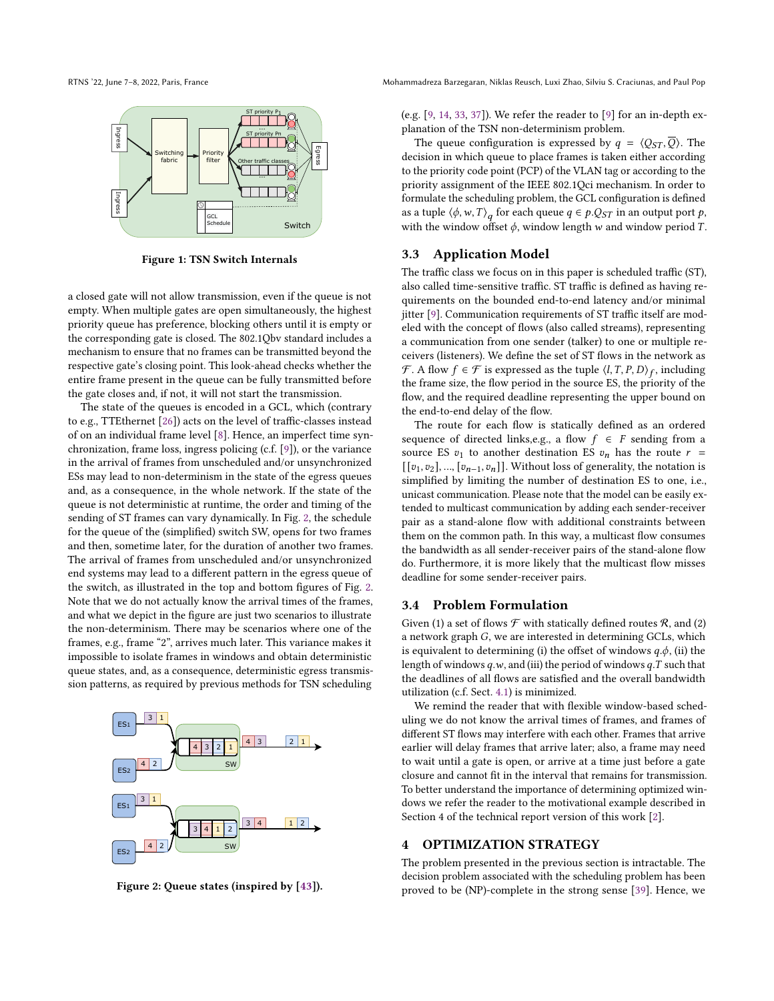<span id="page-3-2"></span>

Figure 1: TSN Switch Internals

a closed gate will not allow transmission, even if the queue is not empty. When multiple gates are open simultaneously, the highest priority queue has preference, blocking others until it is empty or the corresponding gate is closed. The 802.1Qbv standard includes a mechanism to ensure that no frames can be transmitted beyond the respective gate's closing point. This look-ahead checks whether the entire frame present in the queue can be fully transmitted before the gate closes and, if not, it will not start the transmission.

The state of the queues is encoded in a GCL, which (contrary to e.g., TTEthernet [\[26\]](#page-10-18)) acts on the level of traffic-classes instead of on an individual frame level [\[8\]](#page-10-21). Hence, an imperfect time synchronization, frame loss, ingress policing (c.f. [\[9\]](#page-10-2)), or the variance in the arrival of frames from unscheduled and/or unsynchronized ESs may lead to non-determinism in the state of the egress queues and, as a consequence, in the whole network. If the state of the queue is not deterministic at runtime, the order and timing of the sending of ST frames can vary dynamically. In Fig. [2,](#page-3-3) the schedule for the queue of the (simplified) switch SW, opens for two frames and then, sometime later, for the duration of another two frames. The arrival of frames from unscheduled and/or unsynchronized end systems may lead to a different pattern in the egress queue of the switch, as illustrated in the top and bottom figures of Fig. [2.](#page-3-3) Note that we do not actually know the arrival times of the frames, and what we depict in the figure are just two scenarios to illustrate the non-determinism. There may be scenarios where one of the frames, e.g., frame "2", arrives much later. This variance makes it impossible to isolate frames in windows and obtain deterministic queue states, and, as a consequence, deterministic egress transmission patterns, as required by previous methods for TSN scheduling

<span id="page-3-3"></span>

Figure 2: Queue states (inspired by [\[43\]](#page-11-23)).

(e.g. [\[9,](#page-10-2) [14,](#page-10-11) [33,](#page-11-1) [37\]](#page-11-2)). We refer the reader to [\[9\]](#page-10-2) for an in-depth explanation of the TSN non-determinism problem.

The queue configuration is expressed by  $q = \langle Q_{ST}, Q \rangle$ . The decision in which queue to place frames is taken either according to the priority code point (PCP) of the VLAN tag or according to the priority assignment of the IEEE 802.1Qci mechanism. In order to formulate the scheduling problem, the GCL configuration is defined as a tuple  $\langle \phi, w, T \rangle_a$  for each queue  $q \in p.Q_{ST}$  in an output port p, with the window offset  $\phi$ , window length w and window period T.

#### 3.3 Application Model

The traffic class we focus on in this paper is scheduled traffic (ST), also called time-sensitive traffic. ST traffic is defined as having requirements on the bounded end-to-end latency and/or minimal jitter [\[9\]](#page-10-2). Communication requirements of ST traffic itself are modeled with the concept of flows (also called streams), representing a communication from one sender (talker) to one or multiple receivers (listeners). We define the set of ST flows in the network as  $\mathcal{F}$ . A flow  $f \in \mathcal{F}$  is expressed as the tuple  $\langle l, T, P, D \rangle_f$ , including the frame size, the flow period in the source ES, the priority of the flow, and the required deadline representing the upper bound on the end-to-end delay of the flow.

The route for each flow is statically defined as an ordered sequence of directed links,e.g., a flow  $f \in F$  sending from a source ES  $v_1$  to another destination ES  $v_n$  has the route  $r =$  $[[v_1, v_2], ..., [v_{n-1}, v_n]]$ . Without loss of generality, the notation is simplified by limiting the number of destination ES to one, i.e., unicast communication. Please note that the model can be easily extended to multicast communication by adding each sender-receiver pair as a stand-alone flow with additional constraints between them on the common path. In this way, a multicast flow consumes the bandwidth as all sender-receiver pairs of the stand-alone flow do. Furthermore, it is more likely that the multicast flow misses deadline for some sender-receiver pairs.

#### <span id="page-3-0"></span>3.4 Problem Formulation

Given (1) a set of flows  $\mathcal F$  with statically defined routes  $\mathcal R$ , and (2) a network graph  $G$ , we are interested in determining GCLs, which is equivalent to determining (i) the offset of windows  $q.\phi$ , (ii) the length of windows  $q.w$ , and (iii) the period of windows  $q.T$  such that the deadlines of all flows are satisfied and the overall bandwidth utilization (c.f. Sect. [4.1\)](#page-4-0) is minimized.

We remind the reader that with flexible window-based scheduling we do not know the arrival times of frames, and frames of different ST flows may interfere with each other. Frames that arrive earlier will delay frames that arrive later; also, a frame may need to wait until a gate is open, or arrive at a time just before a gate closure and cannot fit in the interval that remains for transmission. To better understand the importance of determining optimized windows we refer the reader to the motivational example described in Section 4 of the technical report version of this work [\[2\]](#page-10-22).

#### <span id="page-3-1"></span>4 OPTIMIZATION STRATEGY

The problem presented in the previous section is intractable. The decision problem associated with the scheduling problem has been proved to be (NP)-complete in the strong sense [\[39\]](#page-11-24). Hence, we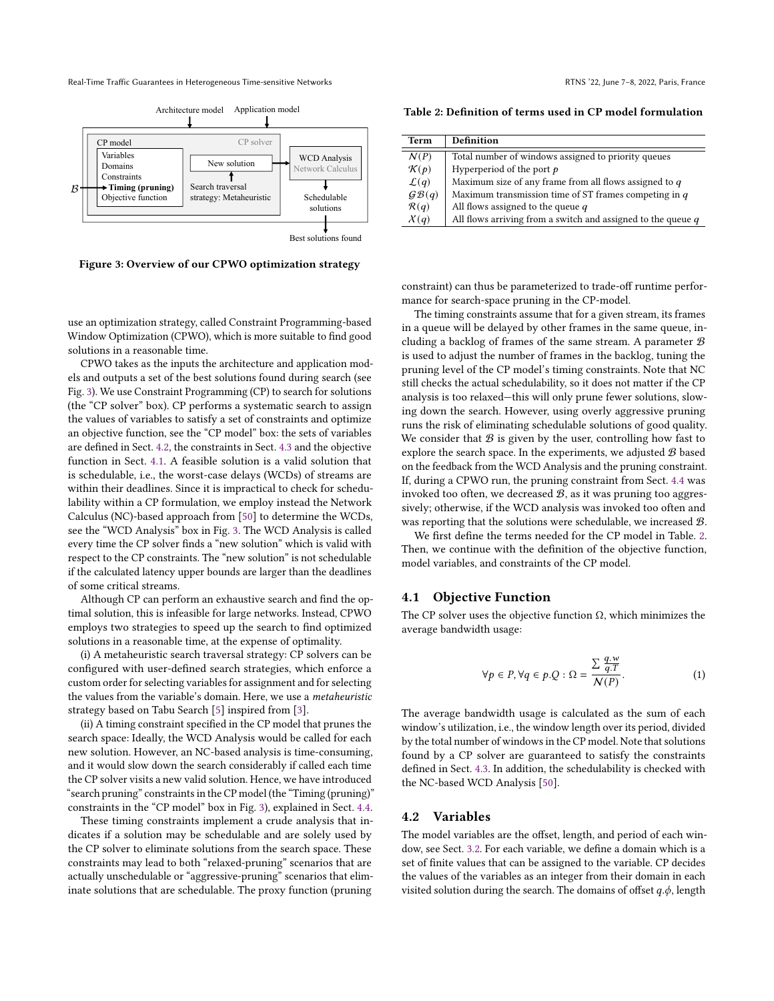Real-Time Traffic Guarantees in Heterogeneous Time-sensitive Networks **RTNS** '22, June 7-8, 2022, Paris, France

<span id="page-4-1"></span>

Best solutions found

Figure 3: Overview of our CPWO optimization strategy

use an optimization strategy, called Constraint Programming-based Window Optimization (CPWO), which is more suitable to find good solutions in a reasonable time.

CPWO takes as the inputs the architecture and application models and outputs a set of the best solutions found during search (see Fig. [3\)](#page-4-1). We use Constraint Programming (CP) to search for solutions (the "CP solver" box). CP performs a systematic search to assign the values of variables to satisfy a set of constraints and optimize an objective function, see the "CP model" box: the sets of variables are defined in Sect. [4.2,](#page-4-2) the constraints in Sect. [4.3](#page-5-0) and the objective function in Sect. [4.1.](#page-4-0) A feasible solution is a valid solution that is schedulable, i.e., the worst-case delays (WCDs) of streams are within their deadlines. Since it is impractical to check for schedulability within a CP formulation, we employ instead the Network Calculus (NC)-based approach from [\[50\]](#page-11-7) to determine the WCDs, see the "WCD Analysis" box in Fig. [3.](#page-4-1) The WCD Analysis is called every time the CP solver finds a "new solution" which is valid with respect to the CP constraints. The "new solution" is not schedulable if the calculated latency upper bounds are larger than the deadlines of some critical streams.

Although CP can perform an exhaustive search and find the optimal solution, this is infeasible for large networks. Instead, CPWO employs two strategies to speed up the search to find optimized solutions in a reasonable time, at the expense of optimality.

(i) A metaheuristic search traversal strategy: CP solvers can be configured with user-defined search strategies, which enforce a custom order for selecting variables for assignment and for selecting the values from the variable's domain. Here, we use a metaheuristic strategy based on Tabu Search [\[5\]](#page-10-23) inspired from [\[3\]](#page-10-24).

(ii) A timing constraint specified in the CP model that prunes the search space: Ideally, the WCD Analysis would be called for each new solution. However, an NC-based analysis is time-consuming, and it would slow down the search considerably if called each time the CP solver visits a new valid solution. Hence, we have introduced "search pruning" constraints in the CP model (the "Timing (pruning)" constraints in the "CP model" box in Fig. [3\)](#page-4-1), explained in Sect. [4.4.](#page-5-1)

These timing constraints implement a crude analysis that indicates if a solution may be schedulable and are solely used by the CP solver to eliminate solutions from the search space. These constraints may lead to both "relaxed-pruning" scenarios that are actually unschedulable or "aggressive-pruning" scenarios that eliminate solutions that are schedulable. The proxy function (pruning

<span id="page-4-3"></span>Table 2: Definition of terms used in CP model formulation

| Term             | Definition                                                     |
|------------------|----------------------------------------------------------------|
| N(P)             | Total number of windows assigned to priority queues            |
| $\mathcal{K}(p)$ | Hyperperiod of the port $p$                                    |
| $\mathcal{L}(q)$ | Maximum size of any frame from all flows assigned to $q$       |
| GB(q)            | Maximum transmission time of ST frames competing in $q$        |
| $\mathcal{R}(q)$ | All flows assigned to the queue $q$                            |
| $\chi(q)$        | All flows arriving from a switch and assigned to the queue $q$ |

constraint) can thus be parameterized to trade-off runtime performance for search-space pruning in the CP-model.

The timing constraints assume that for a given stream, its frames in a queue will be delayed by other frames in the same queue, including a backlog of frames of the same stream. A parameter  $B$ is used to adjust the number of frames in the backlog, tuning the pruning level of the CP model's timing constraints. Note that NC still checks the actual schedulability, so it does not matter if the CP analysis is too relaxed—this will only prune fewer solutions, slowing down the search. However, using overly aggressive pruning runs the risk of eliminating schedulable solutions of good quality. We consider that  $B$  is given by the user, controlling how fast to explore the search space. In the experiments, we adjusted  $B$  based on the feedback from the WCD Analysis and the pruning constraint. If, during a CPWO run, the pruning constraint from Sect. [4.4](#page-5-1) was invoked too often, we decreased  $B$ , as it was pruning too aggressively; otherwise, if the WCD analysis was invoked too often and was reporting that the solutions were schedulable, we increased B.

We first define the terms needed for the CP model in Table. [2.](#page-4-3) Then, we continue with the definition of the objective function, model variables, and constraints of the CP model.

#### <span id="page-4-0"></span>4.1 Objective Function

The CP solver uses the objective function  $\Omega$ , which minimizes the average bandwidth usage:

<span id="page-4-4"></span>
$$
\forall p \in P, \forall q \in p.Q: \Omega = \frac{\sum \frac{q.w}{q.T}}{N(P)}.\tag{1}
$$

The average bandwidth usage is calculated as the sum of each window's utilization, i.e., the window length over its period, divided by the total number of windows in the CP model. Note that solutions found by a CP solver are guaranteed to satisfy the constraints defined in Sect. [4.3.](#page-5-0) In addition, the schedulability is checked with the NC-based WCD Analysis [\[50\]](#page-11-7).

#### <span id="page-4-2"></span>4.2 Variables

The model variables are the offset, length, and period of each window, see Sect. [3.2.](#page-2-2) For each variable, we define a domain which is a set of finite values that can be assigned to the variable. CP decides the values of the variables as an integer from their domain in each visited solution during the search. The domains of offset  $q.\phi$ , length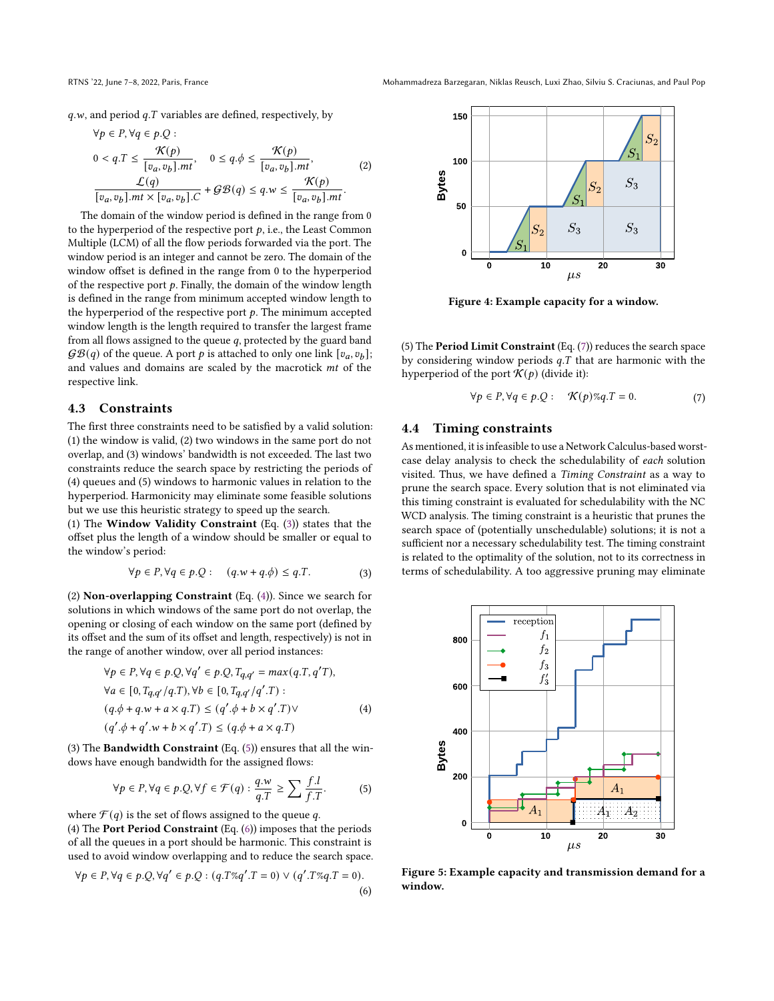RTNS '22, June 7–8, 2022, Paris, France Mohammadreza Barzegaran, Niklas Reusch, Luxi Zhao, Silviu S. Craciunas, and Paul Pop

 $q.w$ , and period  $q.T$  variables are defined, respectively, by

$$
\forall p \in P, \forall q \in p. Q :
$$
  
\n
$$
0 < q. T \leq \frac{\mathcal{K}(p)}{[v_a, v_b].mt}, \quad 0 \leq q. \phi \leq \frac{\mathcal{K}(p)}{[v_a, v_b].mt}, \quad (2)
$$
  
\n
$$
\frac{\mathcal{L}(q)}{[v_a, v_b].mt \times [v_a, v_b].C} + \mathcal{GB}(q) \leq q. w \leq \frac{\mathcal{K}(p)}{[v_a, v_b].mt}.
$$

The domain of the window period is defined in the range from 0 to the hyperperiod of the respective port  $p$ , i.e., the Least Common Multiple (LCM) of all the flow periods forwarded via the port. The window period is an integer and cannot be zero. The domain of the window offset is defined in the range from 0 to the hyperperiod of the respective port  $p$ . Finally, the domain of the window length is defined in the range from minimum accepted window length to the hyperperiod of the respective port  $p$ . The minimum accepted window length is the length required to transfer the largest frame from all flows assigned to the queue  $q$ , protected by the guard band  $\mathcal{GB}(q)$  of the queue. A port p is attached to only one link  $[v_a, v_b];$ and values and domains are scaled by the macrotick  $mt$  of the respective link.

## <span id="page-5-0"></span>4.3 Constraints

The first three constraints need to be satisfied by a valid solution: (1) the window is valid, (2) two windows in the same port do not overlap, and (3) windows' bandwidth is not exceeded. The last two constraints reduce the search space by restricting the periods of (4) queues and (5) windows to harmonic values in relation to the hyperperiod. Harmonicity may eliminate some feasible solutions but we use this heuristic strategy to speed up the search.

(1) The Window Validity Constraint (Eq. [\(3\)](#page-5-2)) states that the offset plus the length of a window should be smaller or equal to the window's period:

$$
\forall p \in P, \forall q \in p.Q: \quad (q.w + q.\phi) \le q.T.
$$
 (3)

<span id="page-5-2"></span>(2) Non-overlapping Constraint (Eq. [\(4\)](#page-5-3)). Since we search for solutions in which windows of the same port do not overlap, the opening or closing of each window on the same port (defined by its offset and the sum of its offset and length, respectively) is not in the range of another window, over all period instances:

$$
\forall p \in P, \forall q \in p.Q, \forall q' \in p.Q, T_{q,q'} = max(q.T, q'T),
$$
  
\n
$$
\forall a \in [0, T_{q,q'}/q.T), \forall b \in [0, T_{q,q'}/q'.T) :
$$
  
\n
$$
(q.\phi + q.w + a \times q.T) \leq (q'.\phi + b \times q'.T) \vee
$$
  
\n
$$
(q'.\phi + q'.w + b \times q'.T) \leq (q.\phi + a \times q.T)
$$
  
\n(4)

(3) The Bandwidth Constraint (Eq. [\(5\)](#page-5-4)) ensures that all the windows have enough bandwidth for the assigned flows:

$$
\forall p \in P, \forall q \in p.Q, \forall f \in \mathcal{F}(q) : \frac{q.w}{q.T} \ge \sum \frac{f.l}{f.T}. \tag{5}
$$

<span id="page-5-4"></span>where  $\mathcal{F}(q)$  is the set of flows assigned to the queue q.

(4) The Port Period Constraint (Eq. [\(6\)](#page-5-5)) imposes that the periods of all the queues in a port should be harmonic. This constraint is used to avoid window overlapping and to reduce the search space.

<span id="page-5-5"></span>
$$
\forall p \in P, \forall q \in p. Q, \forall q' \in p. Q : (q.T\%q'.T = 0) \lor (q'.T\%q.T = 0).
$$
\n(6)

<span id="page-5-7"></span>

Figure 4: Example capacity for a window.

(5) The Period Limit Constraint (Eq. [\(7\)](#page-5-6)) reduces the search space by considering window periods  $q$ . T that are harmonic with the hyperperiod of the port  $\mathcal{K}(p)$  (divide it):

$$
\forall p \in P, \forall q \in p.Q: \quad \mathcal{K}(p)\%q.T = 0. \tag{7}
$$

#### <span id="page-5-6"></span><span id="page-5-1"></span>4.4 Timing constraints

As mentioned, it is infeasible to use a Network Calculus-based worstcase delay analysis to check the schedulability of each solution visited. Thus, we have defined a Timing Constraint as a way to prune the search space. Every solution that is not eliminated via this timing constraint is evaluated for schedulability with the NC WCD analysis. The timing constraint is a heuristic that prunes the search space of (potentially unschedulable) solutions; it is not a sufficient nor a necessary schedulability test. The timing constraint is related to the optimality of the solution, not to its correctness in terms of schedulability. A too aggressive pruning may eliminate

<span id="page-5-8"></span><span id="page-5-3"></span>

Figure 5: Example capacity and transmission demand for a window.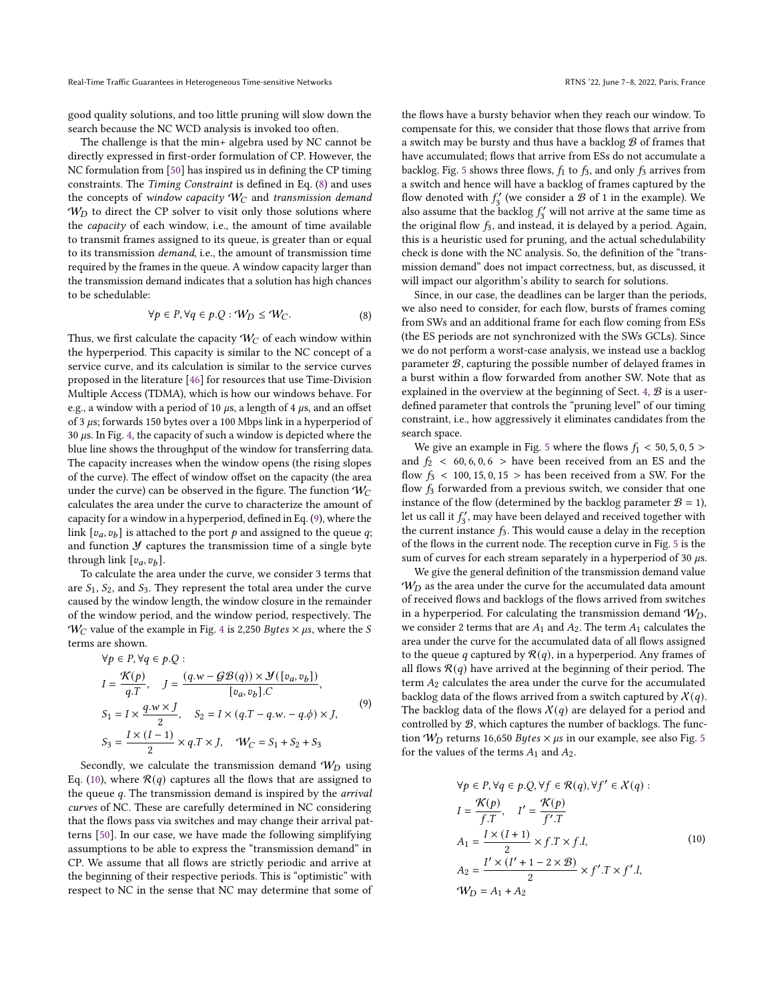good quality solutions, and too little pruning will slow down the search because the NC WCD analysis is invoked too often.

The challenge is that the min+ algebra used by NC cannot be directly expressed in first-order formulation of CP. However, the NC formulation from [\[50\]](#page-11-7) has inspired us in defining the CP timing constraints. The Timing Constraint is defined in Eq. [\(8\)](#page-6-0) and uses the concepts of window capacity  $W_C$  and transmission demand  $W_D$  to direct the CP solver to visit only those solutions where the capacity of each window, i.e., the amount of time available to transmit frames assigned to its queue, is greater than or equal to its transmission demand, i.e., the amount of transmission time required by the frames in the queue. A window capacity larger than the transmission demand indicates that a solution has high chances to be schedulable:

$$
\forall p \in P, \forall q \in p.Q : \mathcal{W}_D \leq \mathcal{W}_C. \tag{8}
$$

<span id="page-6-0"></span>Thus, we first calculate the capacity  $\mathcal{W}_{C}$  of each window within the hyperperiod. This capacity is similar to the NC concept of a service curve, and its calculation is similar to the service curves proposed in the literature [\[46\]](#page-11-25) for resources that use Time-Division Multiple Access (TDMA), which is how our windows behave. For e.g., a window with a period of 10  $\mu$ s, a length of 4  $\mu$ s, and an offset of 3  $\mu$ s; forwards 150 bytes over a 100 Mbps link in a hyperperiod of 30  $\mu$ s. In Fig. [4,](#page-5-7) the capacity of such a window is depicted where the blue line shows the throughput of the window for transferring data. The capacity increases when the window opens (the rising slopes of the curve). The effect of window offset on the capacity (the area under the curve) can be observed in the figure. The function  $W_C$ calculates the area under the curve to characterize the amount of capacity for a window in a hyperperiod, defined in Eq. [\(9\)](#page-6-1), where the link  $[v_a, v_b]$  is attached to the port  $p$  and assigned to the queue  $q$ ; and function  $\mathcal Y$  captures the transmission time of a single byte through link  $[v_a, v_b]$ .

To calculate the area under the curve, we consider 3 terms that are  $S_1$ ,  $S_2$ , and  $S_3$ . They represent the total area under the curve caused by the window length, the window closure in the remainder of the window period, and the window period, respectively. The  $W_C$  value of the example in Fig. [4](#page-5-7) is 2,250 *Bytes*  $\times \mu s$ , where the *S* terms are shown.

<span id="page-6-1"></span>
$$
\forall p \in P, \forall q \in p. Q:
$$
\n
$$
I = \frac{\mathcal{K}(p)}{q.T}, \quad J = \frac{(q.w - \mathcal{GB}(q)) \times \mathcal{Y}([v_a, v_b])}{[v_a, v_b].C},
$$
\n
$$
S_1 = I \times \frac{q.w \times J}{2}, \quad S_2 = I \times (q.T - q.w. - q.\phi) \times J,
$$
\n
$$
S_3 = \frac{I \times (I - 1)}{2} \times q.T \times J, \quad \mathcal{W}_C = S_1 + S_2 + S_3
$$
\n(9)

Secondly, we calculate the transmission demand  $W_D$  using Eq. [\(10\)](#page-6-2), where  $\mathcal{R}(q)$  captures all the flows that are assigned to the queue  $q$ . The transmission demand is inspired by the *arrival* curves of NC. These are carefully determined in NC considering that the flows pass via switches and may change their arrival patterns [\[50\]](#page-11-7). In our case, we have made the following simplifying assumptions to be able to express the "transmission demand" in CP. We assume that all flows are strictly periodic and arrive at the beginning of their respective periods. This is "optimistic" with respect to NC in the sense that NC may determine that some of

the flows have a bursty behavior when they reach our window. To compensate for this, we consider that those flows that arrive from a switch may be bursty and thus have a backlog  $\mathcal B$  of frames that have accumulated; flows that arrive from ESs do not accumulate a backlog. Fig. [5](#page-5-8) shows three flows,  $f_1$  to  $f_3$ , and only  $f_3$  arrives from a switch and hence will have a backlog of frames captured by the flow denoted with  $f_3'$  (we consider a  $\mathcal B$  of 1 in the example). We also assume that the backlog  $f_3'$  will not arrive at the same time as the original flow  $f_3$ , and instead, it is delayed by a period. Again, this is a heuristic used for pruning, and the actual schedulability check is done with the NC analysis. So, the definition of the "transmission demand" does not impact correctness, but, as discussed, it will impact our algorithm's ability to search for solutions.

Since, in our case, the deadlines can be larger than the periods, we also need to consider, for each flow, bursts of frames coming from SWs and an additional frame for each flow coming from ESs (the ES periods are not synchronized with the SWs GCLs). Since we do not perform a worst-case analysis, we instead use a backlog parameter  $B$ , capturing the possible number of delayed frames in a burst within a flow forwarded from another SW. Note that as explained in the overview at the beginning of Sect. [4,](#page-3-1)  $B$  is a userdefined parameter that controls the "pruning level" of our timing constraint, i.e., how aggressively it eliminates candidates from the search space.

We give an example in Fig. [5](#page-5-8) where the flows  $f_1 < 50$ , 5, 0, 5 > and  $f_2$  < 60, 6, 0, 6 > have been received from an ES and the flow  $f_3$  < 100, 15, 0, 15 > has been received from a SW. For the flow  $f_3$  forwarded from a previous switch, we consider that one instance of the flow (determined by the backlog parameter  $B = 1$ ), let us call it  $f_3'$  may have been delayed and received together with the current instance  $f_3$ . This would cause a delay in the reception of the flows in the current node. The reception curve in Fig. [5](#page-5-8) is the sum of curves for each stream separately in a hyperperiod of 30  $\mu$ s.

We give the general definition of the transmission demand value  $W_D$  as the area under the curve for the accumulated data amount of received flows and backlogs of the flows arrived from switches in a hyperperiod. For calculating the transmission demand  $W_D$ , we consider 2 terms that are  $A_1$  and  $A_2$ . The term  $A_1$  calculates the area under the curve for the accumulated data of all flows assigned to the queue q captured by  $\mathcal{R}(q)$ , in a hyperperiod. Any frames of all flows  $\mathcal{R}(q)$  have arrived at the beginning of their period. The term  $A_2$  calculates the area under the curve for the accumulated backlog data of the flows arrived from a switch captured by  $\mathcal{X}(q)$ . The backlog data of the flows  $\mathcal{X}(q)$  are delayed for a period and controlled by  $B$ , which captures the number of backlogs. The function  $W_D$  returns 16,6[5](#page-5-8)0 *Bytes*  $\times$   $\mu$ s in our example, see also Fig. 5 for the values of the terms  $A_1$  and  $A_2$ .

<span id="page-6-2"></span>
$$
\forall p \in P, \forall q \in p. Q, \forall f \in \mathcal{R}(q), \forall f' \in \mathcal{X}(q) :
$$
  
\n
$$
I = \frac{\mathcal{K}(p)}{f.T}, \quad I' = \frac{\mathcal{K}(p)}{f'.T}
$$
  
\n
$$
A_1 = \frac{I \times (I+1)}{2} \times f.T \times f.l,
$$
  
\n
$$
A_2 = \frac{I' \times (I' + 1 - 2 \times \mathcal{B})}{2} \times f'.T \times f'.l,
$$
  
\n
$$
\mathcal{W}_D = A_1 + A_2
$$
  
\n(10)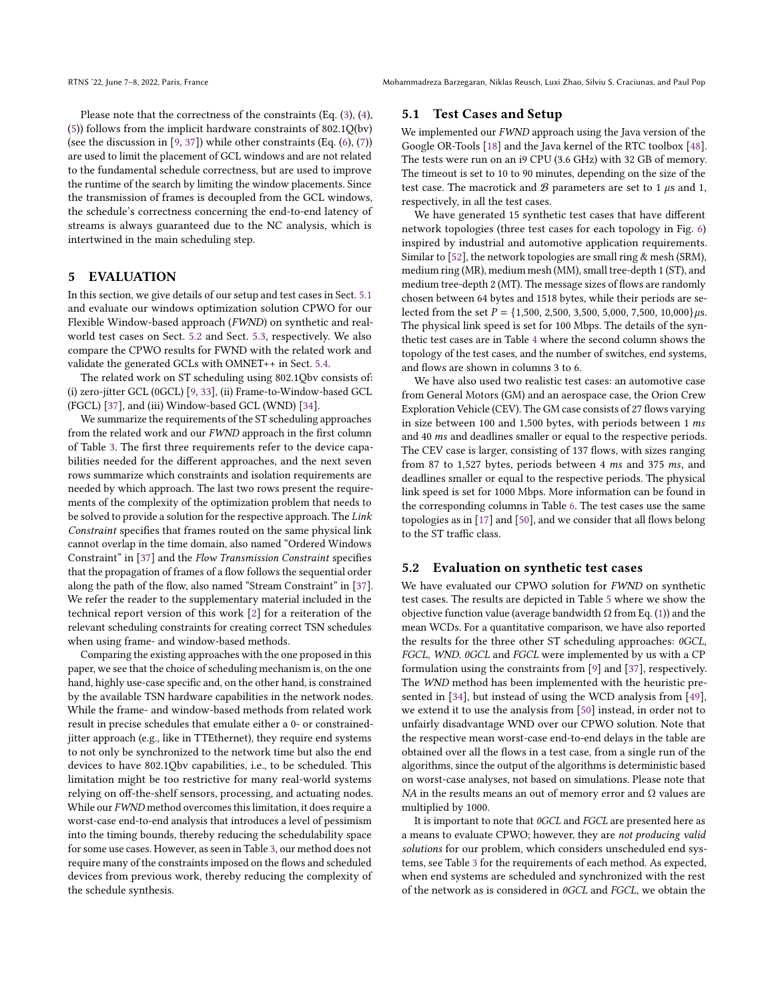Please note that the correctness of the constraints (Eq. [\(3\)](#page-5-2), [\(4\)](#page-5-3), [\(5\)](#page-5-4)) follows from the implicit hardware constraints of 802.1Q(bv) (see the discussion in  $[9, 37]$  $[9, 37]$  $[9, 37]$ ) while other constraints (Eq.  $(6)$ ,  $(7)$ ) are used to limit the placement of GCL windows and are not related to the fundamental schedule correctness, but are used to improve the runtime of the search by limiting the window placements. Since the transmission of frames is decoupled from the GCL windows, the schedule's correctness concerning the end-to-end latency of streams is always guaranteed due to the NC analysis, which is intertwined in the main scheduling step.

#### <span id="page-7-0"></span>5 EVALUATION

In this section, we give details of our setup and test cases in Sect. [5.1](#page-7-1) and evaluate our windows optimization solution CPWO for our Flexible Window-based approach (FWND) on synthetic and realworld test cases on Sect. [5.2](#page-7-2) and Sect. [5.3,](#page-9-0) respectively. We also compare the CPWO results for FWND with the related work and validate the generated GCLs with OMNET++ in Sect. [5.4.](#page-9-1)

The related work on ST scheduling using 802.1Qbv consists of: (i) zero-jitter GCL (0GCL) [\[9,](#page-10-2) [33\]](#page-11-1), (ii) Frame-to-Window-based GCL (FGCL) [\[37\]](#page-11-2), and (iii) Window-based GCL (WND) [\[34\]](#page-11-6).

We summarize the requirements of the ST scheduling approaches from the related work and our FWND approach in the first column of Table [3.](#page-8-0) The first three requirements refer to the device capabilities needed for the different approaches, and the next seven rows summarize which constraints and isolation requirements are needed by which approach. The last two rows present the requirements of the complexity of the optimization problem that needs to be solved to provide a solution for the respective approach. The Link Constraint specifies that frames routed on the same physical link cannot overlap in the time domain, also named "Ordered Windows Constraint" in [\[37\]](#page-11-2) and the Flow Transmission Constraint specifies that the propagation of frames of a flow follows the sequential order along the path of the flow, also named "Stream Constraint" in [\[37\]](#page-11-2). We refer the reader to the supplementary material included in the technical report version of this work [\[2\]](#page-10-22) for a reiteration of the relevant scheduling constraints for creating correct TSN schedules when using frame- and window-based methods.

Comparing the existing approaches with the one proposed in this paper, we see that the choice of scheduling mechanism is, on the one hand, highly use-case specific and, on the other hand, is constrained by the available TSN hardware capabilities in the network nodes. While the frame- and window-based methods from related work result in precise schedules that emulate either a 0- or constrainedjitter approach (e.g., like in TTEthernet), they require end systems to not only be synchronized to the network time but also the end devices to have 802.1Qbv capabilities, i.e., to be scheduled. This limitation might be too restrictive for many real-world systems relying on off-the-shelf sensors, processing, and actuating nodes. While our FWND method overcomes this limitation, it does require a worst-case end-to-end analysis that introduces a level of pessimism into the timing bounds, thereby reducing the schedulability space for some use cases. However, as seen in Table [3,](#page-8-0) our method does not require many of the constraints imposed on the flows and scheduled devices from previous work, thereby reducing the complexity of the schedule synthesis.

## <span id="page-7-1"></span>5.1 Test Cases and Setup

We implemented our FWND approach using the Java version of the Google OR-Tools [\[18\]](#page-10-25) and the Java kernel of the RTC toolbox [\[48\]](#page-11-26). The tests were run on an i9 CPU (3.6 GHz) with 32 GB of memory. The timeout is set to 10 to 90 minutes, depending on the size of the test case. The macrotick and  $B$  parameters are set to 1  $\mu$ s and 1, respectively, in all the test cases.

We have generated 15 synthetic test cases that have different network topologies (three test cases for each topology in Fig. [6\)](#page-8-1) inspired by industrial and automotive application requirements. Similar to [\[52\]](#page-11-27), the network topologies are small ring & mesh (SRM), medium ring (MR), medium mesh (MM), small tree-depth 1 (ST), and medium tree-depth 2 (MT). The message sizes of flows are randomly chosen between 64 bytes and 1518 bytes, while their periods are selected from the set  $P = \{1,500, 2,500, 3,500, 5,000, 7,500, 10,000\} \mu s.$ The physical link speed is set for 100 Mbps. The details of the synthetic test cases are in Table [4](#page-8-2) where the second column shows the topology of the test cases, and the number of switches, end systems, and flows are shown in columns 3 to 6.

We have also used two realistic test cases: an automotive case from General Motors (GM) and an aerospace case, the Orion Crew Exploration Vehicle (CEV). The GM case consists of 27 flows varying in size between 100 and 1,500 bytes, with periods between 1 ms and 40 ms and deadlines smaller or equal to the respective periods. The CEV case is larger, consisting of 137 flows, with sizes ranging from 87 to 1,527 bytes, periods between 4  $ms$  and 375  $ms$ , and deadlines smaller or equal to the respective periods. The physical link speed is set for 1000 Mbps. More information can be found in the corresponding columns in Table [6.](#page-9-2) The test cases use the same topologies as in [\[17\]](#page-10-26) and [\[50\]](#page-11-7), and we consider that all flows belong to the ST traffic class.

#### <span id="page-7-2"></span>5.2 Evaluation on synthetic test cases

We have evaluated our CPWO solution for FWND on synthetic test cases. The results are depicted in Table [5](#page-9-3) where we show the objective function value (average bandwidth Ω from Eq. [\(1\)](#page-4-4)) and the mean WCDs. For a quantitative comparison, we have also reported the results for the three other ST scheduling approaches: 0GCL, FGCL, WND. 0GCL and FGCL were implemented by us with a CP formulation using the constraints from [\[9\]](#page-10-2) and [\[37\]](#page-11-2), respectively. The WND method has been implemented with the heuristic presented in [\[34\]](#page-11-6), but instead of using the WCD analysis from [\[49\]](#page-11-16), we extend it to use the analysis from [\[50\]](#page-11-7) instead, in order not to unfairly disadvantage WND over our CPWO solution. Note that the respective mean worst-case end-to-end delays in the table are obtained over all the flows in a test case, from a single run of the algorithms, since the output of the algorithms is deterministic based on worst-case analyses, not based on simulations. Please note that  $NA$  in the results means an out of memory error and  $Ω$  values are multiplied by 1000.

It is important to note that 0GCL and FGCL are presented here as a means to evaluate CPWO; however, they are not producing valid solutions for our problem, which considers unscheduled end systems, see Table [3](#page-8-0) for the requirements of each method. As expected, when end systems are scheduled and synchronized with the rest of the network as is considered in 0GCL and FGCL, we obtain the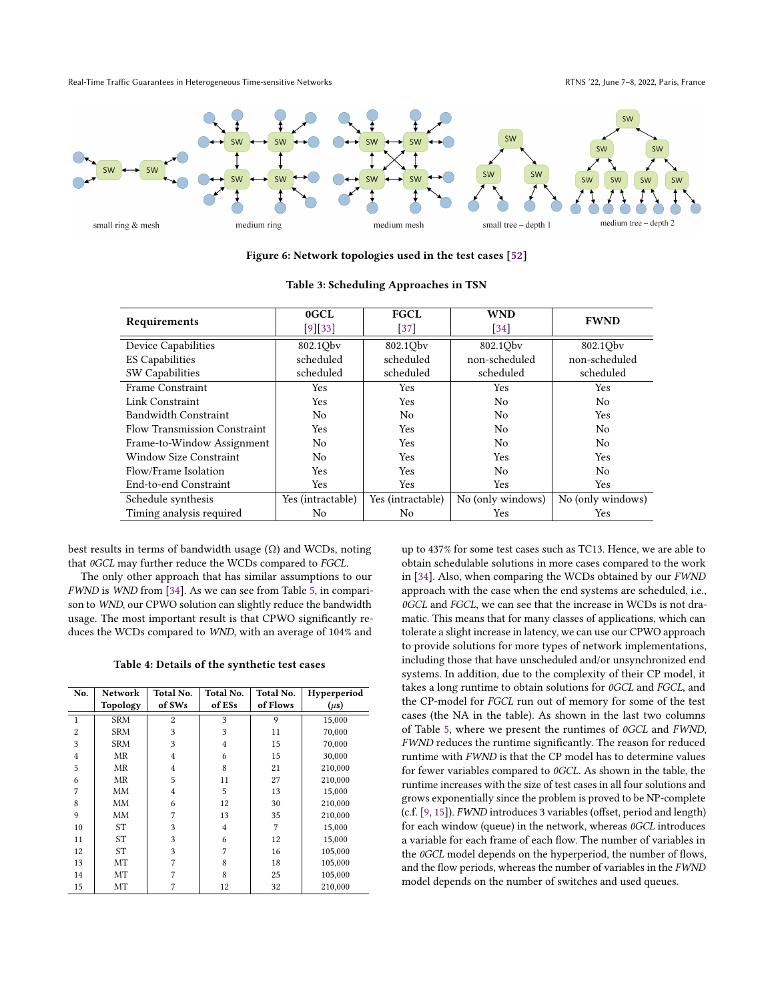Real-Time Traffic Guarantees in Heterogeneous Time-sensitive Networks **RTNS** '22, June 7–8, 2022, Paris, France

<span id="page-8-1"></span>

Figure 6: Network topologies used in the test cases [\[52\]](#page-11-27)

<span id="page-8-0"></span>

| Requirements                        | 0GCL              | <b>FGCL</b>       | <b>WND</b>        | <b>FWND</b>       |  |
|-------------------------------------|-------------------|-------------------|-------------------|-------------------|--|
|                                     | $[9][33]$         | $[37]$            | $\left[34\right]$ |                   |  |
| <b>Device Capabilities</b>          | 802.1Qbv          | 802.1Qbv          | 802.1Obv          | 802.1Qbv          |  |
| <b>ES Capabilities</b>              | scheduled         | scheduled         | non-scheduled     | non-scheduled     |  |
| SW Capabilities                     | scheduled         | scheduled         | scheduled         | scheduled         |  |
| Frame Constraint                    | Yes               | Yes               | Yes               | Yes               |  |
| Link Constraint                     | Yes               | Yes               | No                | No                |  |
| Bandwidth Constraint                | N <sub>0</sub>    | N <sub>0</sub>    | N <sub>0</sub>    | Yes.              |  |
| <b>Flow Transmission Constraint</b> | Yes               | Yes               | No                | No                |  |
| Frame-to-Window Assignment          | No                | <b>Yes</b>        | N <sub>0</sub>    | No                |  |
| Window Size Constraint              | No                | Yes               | Yes               | Yes               |  |
| Flow/Frame Isolation                | Yes               | Yes               | No                | No                |  |
| End-to-end Constraint               | Yes               | Yes               | Yes               | Yes               |  |
| Schedule synthesis                  | Yes (intractable) | Yes (intractable) | No (only windows) | No (only windows) |  |
| Timing analysis required            | No                | No                | Yes               | Yes               |  |

|  | Table 3: Scheduling Approaches in TSN |  |  |  |
|--|---------------------------------------|--|--|--|
|--|---------------------------------------|--|--|--|

best results in terms of bandwidth usage  $(\Omega)$  and WCDs, noting that 0GCL may further reduce the WCDs compared to FGCL.

The only other approach that has similar assumptions to our FWND is WND from [\[34\]](#page-11-6). As we can see from Table [5,](#page-9-3) in comparison to WND, our CPWO solution can slightly reduce the bandwidth usage. The most important result is that CPWO significantly reduces the WCDs compared to WND, with an average of 104% and

Table 4: Details of the synthetic test cases

<span id="page-8-2"></span>

| No.            | Network    | Total No.      | Total No.      | Total No. | Hyperperiod |  |
|----------------|------------|----------------|----------------|-----------|-------------|--|
|                | Topology   | of SWs         | of ESs         | of Flows  | $(\mu s)$   |  |
| $\mathbf{1}$   | <b>SRM</b> | $\overline{c}$ | 3              | 9         | 15,000      |  |
| $\overline{c}$ | <b>SRM</b> | 3              | 3              | 11        | 70,000      |  |
| 3              | <b>SRM</b> | 3              | $\overline{4}$ | 15        | 70,000      |  |
| $\overline{4}$ | ΜR         | $\overline{4}$ | 6              | 15        | 30,000      |  |
| 5              | MR         | $\overline{4}$ | 8              | 21        | 210,000     |  |
| 6              | MR         | 5              | 11             | 27        | 210,000     |  |
| 7              | MМ         | $\overline{4}$ | 5              | 13        | 15,000      |  |
| 8              | MМ         | 6              | 12             | 30        | 210,000     |  |
| 9              | MM         | 7              | 13             | 35        | 210,000     |  |
| 10             | <b>ST</b>  | 3              | $\overline{4}$ | 7         | 15,000      |  |
| 11             | <b>ST</b>  | 3              | 6              | 12        | 15.000      |  |
| 12             | <b>ST</b>  | 3              | 7              | 16        | 105,000     |  |
| 13             | МT         | 7              | 8              | 18        | 105,000     |  |
| 14             | МT         | 7              | 8              | 25        | 105,000     |  |
| 15             | МT         | 7              | 12             | 32        | 210,000     |  |

up to 437% for some test cases such as TC13. Hence, we are able to obtain schedulable solutions in more cases compared to the work in [\[34\]](#page-11-6). Also, when comparing the WCDs obtained by our FWND approach with the case when the end systems are scheduled, i.e., 0GCL and FGCL, we can see that the increase in WCDs is not dramatic. This means that for many classes of applications, which can tolerate a slight increase in latency, we can use our CPWO approach to provide solutions for more types of network implementations, including those that have unscheduled and/or unsynchronized end systems. In addition, due to the complexity of their CP model, it takes a long runtime to obtain solutions for 0GCL and FGCL, and the CP-model for FGCL run out of memory for some of the test cases (the NA in the table). As shown in the last two columns of Table [5,](#page-9-3) where we present the runtimes of 0GCL and FWND, FWND reduces the runtime significantly. The reason for reduced runtime with FWND is that the CP model has to determine values for fewer variables compared to 0GCL. As shown in the table, the runtime increases with the size of test cases in all four solutions and grows exponentially since the problem is proved to be NP-complete (c.f. [\[9,](#page-10-2) [15\]](#page-10-10)). FWND introduces 3 variables (offset, period and length) for each window (queue) in the network, whereas 0GCL introduces a variable for each frame of each flow. The number of variables in the 0GCL model depends on the hyperperiod, the number of flows, and the flow periods, whereas the number of variables in the FWND model depends on the number of switches and used queues.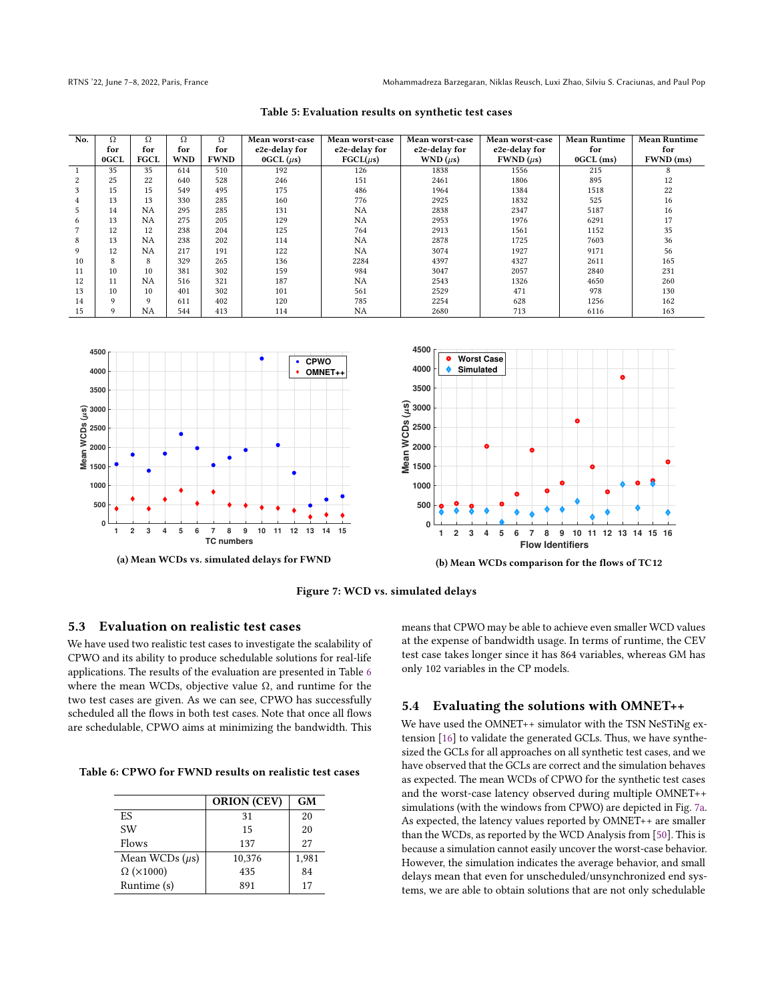<span id="page-9-3"></span>RTNS '22, June 7–8, 2022, Paris, France Mohammadreza Barzegaran, Niklas Reusch, Luxi Zhao, Silviu S. Craciunas, and Paul Pop

| No. | Ω    | Ω           | Ω          | Ω           | Mean worst-case   | Mean worst-case | Mean worst-case | Mean worst-case | <b>Mean Runtime</b> | <b>Mean Runtime</b> |
|-----|------|-------------|------------|-------------|-------------------|-----------------|-----------------|-----------------|---------------------|---------------------|
|     | for  | for         | for        | for         | e2e-delay for     | e2e-delay for   | e2e-delay for   | e2e-delay for   | for                 | for                 |
|     | 0GCL | <b>FGCL</b> | <b>WND</b> | <b>FWND</b> | $0$ GCL $(\mu s)$ | $FGCL(\mu s)$   | $WND (\mu s)$   | $FWND (\mu s)$  | $0$ GCL $(ms)$      | FWND (ms)           |
|     | 35   | 35          | 614        | 510         | 192               | 126             | 1838            | 1556            | 215                 | 8                   |
|     | 25   | 22          | 640        | 528         | 246               | 151             | 2461            | 1806            | 895                 | 12                  |
| 3   | 15   | 15          | 549        | 495         | 175               | 486             | 1964            | 1384            | 1518                | 22                  |
| 4   | 13   | 13          | 330        | 285         | 160               | 776             | 2925            | 1832            | 525                 | 16                  |
|     | 14   | NΑ          | 295        | 285         | 131               | <b>NA</b>       | 2838            | 2347            | 5187                | 16                  |
| 6   | 13   | NΑ          | 275        | 205         | 129               | <b>NA</b>       | 2953            | 1976            | 6291                | 17                  |
|     | 12   | 12          | 238        | 204         | 125               | 764             | 2913            | 1561            | 1152                | 35                  |
| 8   | 13   | NΑ          | 238        | 202         | 114               | <b>NA</b>       | 2878            | 1725            | 7603                | 36                  |
| 9   | 12   | NΑ          | 217        | 191         | 122               | <b>NA</b>       | 3074            | 1927            | 9171                | 56                  |
| 10  | 8    | 8           | 329        | 265         | 136               | 2284            | 4397            | 4327            | 2611                | 165                 |
| 11  | 10   | 10          | 381        | 302         | 159               | 984             | 3047            | 2057            | 2840                | 231                 |
| 12  | 11   | NΑ          | 516        | 321         | 187               | <b>NA</b>       | 2543            | 1326            | 4650                | 260                 |
| 13  | 10   | 10          | 401        | 302         | 101               | 561             | 2529            | 471             | 978                 | 130                 |
| 14  | 9    | 9           | 611        | 402         | 120               | 785             | 2254            | 628             | 1256                | 162                 |
| 15  | 9    | NA          | 544        | 413         | 114               | NA              | 2680            | 713             | 6116                | 163                 |



<span id="page-9-4"></span>

Figure 7: WCD vs. simulated delays

#### <span id="page-9-0"></span>5.3 Evaluation on realistic test cases

We have used two realistic test cases to investigate the scalability of CPWO and its ability to produce schedulable solutions for real-life applications. The results of the evaluation are presented in Table [6](#page-9-2) where the mean WCDs, objective value  $\Omega$ , and runtime for the two test cases are given. As we can see, CPWO has successfully scheduled all the flows in both test cases. Note that once all flows are schedulable, CPWO aims at minimizing the bandwidth. This

<span id="page-9-2"></span>Table 6: CPWO for FWND results on realistic test cases

|                           | <b>ORION (CEV)</b> | GM    |
|---------------------------|--------------------|-------|
| ES.                       | 31                 | 20    |
| SW                        | 15                 | 20    |
| Flows                     | 137                | 27    |
| Mean WCDs $(\mu s)$       | 10,376             | 1,981 |
| $\Omega$ ( $\times$ 1000) | 435                | 84    |
| Runtime (s)               | 891                | 17    |

means that CPWO may be able to achieve even smaller WCD values at the expense of bandwidth usage. In terms of runtime, the CEV test case takes longer since it has 864 variables, whereas GM has only 102 variables in the CP models.

#### <span id="page-9-1"></span>5.4 Evaluating the solutions with OMNET++

We have used the OMNET++ simulator with the TSN NeSTiNg extension [\[16\]](#page-10-27) to validate the generated GCLs. Thus, we have synthesized the GCLs for all approaches on all synthetic test cases, and we have observed that the GCLs are correct and the simulation behaves as expected. The mean WCDs of CPWO for the synthetic test cases and the worst-case latency observed during multiple OMNET++ simulations (with the windows from CPWO) are depicted in Fig. [7a.](#page-9-4) As expected, the latency values reported by OMNET++ are smaller than the WCDs, as reported by the WCD Analysis from [\[50\]](#page-11-7). This is because a simulation cannot easily uncover the worst-case behavior. However, the simulation indicates the average behavior, and small delays mean that even for unscheduled/unsynchronized end systems, we are able to obtain solutions that are not only schedulable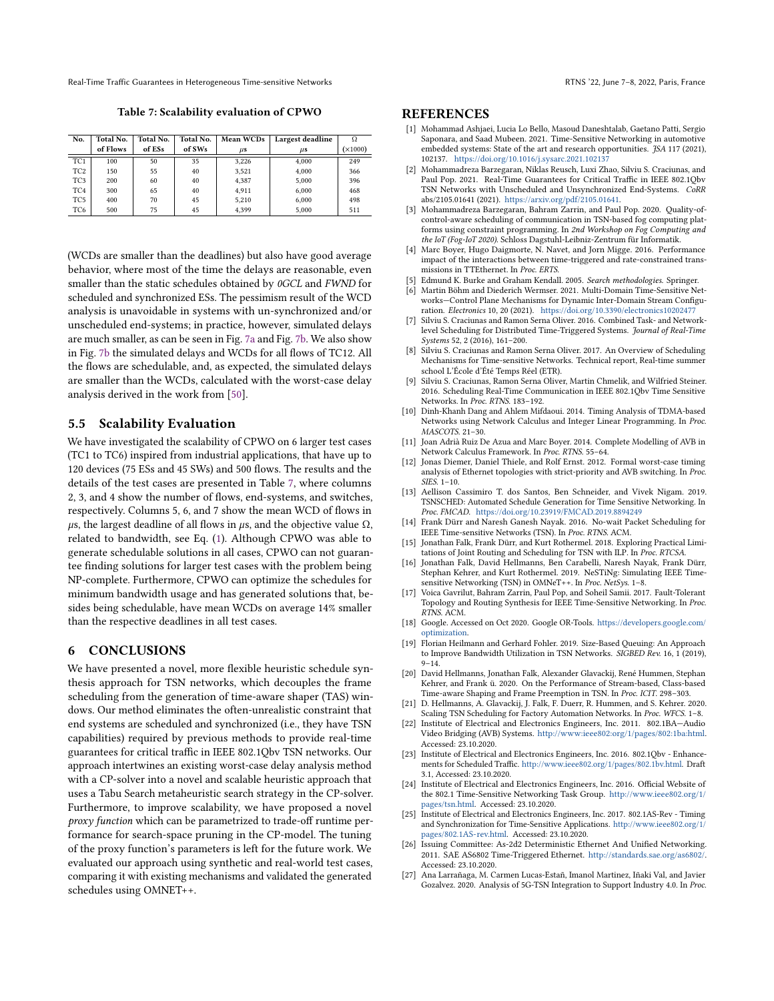<span id="page-10-28"></span>Real-Time Traffic Guarantees in Heterogeneous Time-sensitive Networks **RTNS** '22, June 7-8, 2022, Paris, France

Table 7: Scalability evaluation of CPWO

| No.             | <b>Total No.</b><br>Total No. |        | Total No. | Mean WCDs | Largest deadline | Ω       |
|-----------------|-------------------------------|--------|-----------|-----------|------------------|---------|
|                 | of Flows                      | of ESs | of SWs    | $\mu$ s   | $\mu$ s          | (x1000) |
| TC1             | 100                           | 50     | 35        | 3.226     | 4.000            | 249     |
| TC <sub>2</sub> | 150                           | 55     | 40        | 3.521     | 4.000            | 366     |
| TC <sub>3</sub> | 200                           | 60     | 40        | 4.387     | 5.000            | 396     |
| TC <sub>4</sub> | 300                           | 65     | 40        | 4.911     | 6.000            | 468     |
| TC <sub>5</sub> | 400                           | 70     | 45        | 5.210     | 6.000            | 498     |
| TC <sub>6</sub> | 500                           | 75     | 45        | 4.399     | 5.000            | 511     |

(WCDs are smaller than the deadlines) but also have good average behavior, where most of the time the delays are reasonable, even smaller than the static schedules obtained by 0GCL and FWND for scheduled and synchronized ESs. The pessimism result of the WCD analysis is unavoidable in systems with un-synchronized and/or unscheduled end-systems; in practice, however, simulated delays are much smaller, as can be seen in Fig. [7a](#page-9-4) and Fig. [7b.](#page-9-4) We also show in Fig. [7b](#page-9-4) the simulated delays and WCDs for all flows of TC12. All the flows are schedulable, and, as expected, the simulated delays are smaller than the WCDs, calculated with the worst-case delay analysis derived in the work from [\[50\]](#page-11-7).

#### 5.5 Scalability Evaluation

We have investigated the scalability of CPWO on 6 larger test cases (TC1 to TC6) inspired from industrial applications, that have up to 120 devices (75 ESs and 45 SWs) and 500 flows. The results and the details of the test cases are presented in Table [7,](#page-10-28) where columns 2, 3, and 4 show the number of flows, end-systems, and switches, respectively. Columns 5, 6, and 7 show the mean WCD of flows in  $\mu$ s, the largest deadline of all flows in  $\mu$ s, and the objective value Ω, related to bandwidth, see Eq. [\(1\)](#page-4-4). Although CPWO was able to generate schedulable solutions in all cases, CPWO can not guarantee finding solutions for larger test cases with the problem being NP-complete. Furthermore, CPWO can optimize the schedules for minimum bandwidth usage and has generated solutions that, besides being schedulable, have mean WCDs on average 14% smaller than the respective deadlines in all test cases.

#### <span id="page-10-8"></span>6 CONCLUSIONS

We have presented a novel, more flexible heuristic schedule synthesis approach for TSN networks, which decouples the frame scheduling from the generation of time-aware shaper (TAS) windows. Our method eliminates the often-unrealistic constraint that end systems are scheduled and synchronized (i.e., they have TSN capabilities) required by previous methods to provide real-time guarantees for critical traffic in IEEE 802.1Qbv TSN networks. Our approach intertwines an existing worst-case delay analysis method with a CP-solver into a novel and scalable heuristic approach that uses a Tabu Search metaheuristic search strategy in the CP-solver. Furthermore, to improve scalability, we have proposed a novel proxy function which can be parametrized to trade-off runtime performance for search-space pruning in the CP-model. The tuning of the proxy function's parameters is left for the future work. We evaluated our approach using synthetic and real-world test cases, comparing it with existing mechanisms and validated the generated schedules using OMNET++.

#### **REFERENCES**

- <span id="page-10-0"></span>[1] Mohammad Ashjaei, Lucia Lo Bello, Masoud Daneshtalab, Gaetano Patti, Sergio Saponara, and Saad Mubeen. 2021. Time-Sensitive Networking in automotive embedded systems: State of the art and research opportunities. JSA 117 (2021), 102137. <https://doi.org/10.1016/j.sysarc.2021.102137>
- <span id="page-10-22"></span>[2] Mohammadreza Barzegaran, Niklas Reusch, Luxi Zhao, Silviu S. Craciunas, and Paul Pop. 2021. Real-Time Guarantees for Critical Traffic in IEEE 802.1Qbv TSN Networks with Unscheduled and Unsynchronized End-Systems. CoRR abs/2105.01641 (2021). [https://arxiv.org/pdf/2105.01641.](https://arxiv.org/pdf/2105.01641)
- <span id="page-10-24"></span>[3] Mohammadreza Barzegaran, Bahram Zarrin, and Paul Pop. 2020. Quality-ofcontrol-aware scheduling of communication in TSN-based fog computing platforms using constraint programming. In 2nd Workshop on Fog Computing and the IoT (Fog-IoT 2020). Schloss Dagstuhl-Leibniz-Zentrum für Informatik.
- <span id="page-10-17"></span>[4] Marc Boyer, Hugo Daigmorte, N. Navet, and Jorn Migge. 2016. Performance impact of the interactions between time-triggered and rate-constrained transmissions in TTEthernet. In Proc. ERTS.
- <span id="page-10-23"></span>Edmund K. Burke and Graham Kendall. 2005. Search methodologies. Springer.
- <span id="page-10-6"></span>Martin Böhm and Diederich Wermser. 2021. Multi-Domain Time-Sensitive Networks—Control Plane Mechanisms for Dynamic Inter-Domain Stream Configuration. Electronics 10, 20 (2021). <https://doi.org/10.3390/electronics10202477>
- <span id="page-10-12"></span>[7] Silviu S. Craciunas and Ramon Serna Oliver. 2016. Combined Task- and Networklevel Scheduling for Distributed Time-Triggered Systems. Journal of Real-Time Systems 52, 2 (2016), 161–200.
- <span id="page-10-21"></span>[8] Silviu S. Craciunas and Ramon Serna Oliver. 2017. An Overview of Scheduling Mechanisms for Time-sensitive Networks. Technical report, Real-time summer school L'École d'Été Temps Réel (ETR).
- <span id="page-10-2"></span>Silviu S. Craciunas, Ramon Serna Oliver, Martin Chmelik, and Wilfried Steiner. 2016. Scheduling Real-Time Communication in IEEE 802.1Qbv Time Sensitive Networks. In Proc. RTNS. 183–192.
- <span id="page-10-19"></span>[10] Dinh-Khanh Dang and Ahlem Mifdaoui. 2014. Timing Analysis of TDMA-based Networks using Network Calculus and Integer Linear Programming. In Proc. MASCOTS. 21–30.
- <span id="page-10-15"></span>[11] Joan Adrià Ruiz De Azua and Marc Boyer. 2014. Complete Modelling of AVB in Network Calculus Framework. In Proc. RTNS. 55–64.
- <span id="page-10-16"></span>[12] Jonas Diemer, Daniel Thiele, and Rolf Ernst. 2012. Formal worst-case timing analysis of Ethernet topologies with strict-priority and AVB switching. In Proc. SIES. 1–10.
- <span id="page-10-9"></span>[13] Aellison Cassimiro T. dos Santos, Ben Schneider, and Vivek Nigam. 2019. TSNSCHED: Automated Schedule Generation for Time Sensitive Networking. In Proc. FMCAD. <https://doi.org/10.23919/FMCAD.2019.8894249>
- <span id="page-10-11"></span>[14] Frank Dürr and Naresh Ganesh Nayak. 2016. No-wait Packet Scheduling for IEEE Time-sensitive Networks (TSN). In Proc. RTNS. ACM.
- <span id="page-10-10"></span>[15] Jonathan Falk, Frank Dürr, and Kurt Rothermel. 2018. Exploring Practical Limitations of Joint Routing and Scheduling for TSN with ILP. In Proc. RTCSA.
- <span id="page-10-27"></span>[16] Jonathan Falk, David Hellmanns, Ben Carabelli, Naresh Nayak, Frank Dürr, Stephan Kehrer, and Kurt Rothermel. 2019. NeSTiNg: Simulating IEEE Timesensitive Networking (TSN) in OMNeT++. In Proc. NetSys. 1-8.
- <span id="page-10-26"></span>[17] Voica Gavrilut, Bahram Zarrin, Paul Pop, and Soheil Samii. 2017. Fault-Tolerant Topology and Routing Synthesis for IEEE Time-Sensitive Networking. In Proc. RTNS. ACM.
- <span id="page-10-25"></span>[18] Google. Accessed on Oct 2020. Google OR-Tools. [https://developers.google.com/](https://developers.google.com/optimization) [optimization.](https://developers.google.com/optimization)
- <span id="page-10-20"></span>[19] Florian Heilmann and Gerhard Fohler. 2019. Size-Based Queuing: An Approach to Improve Bandwidth Utilization in TSN Networks. SIGBED Rev. 16, 1 (2019), 9–14.
- <span id="page-10-7"></span>[20] David Hellmanns, Jonathan Falk, Alexander Glavackij, René Hummen, Stephan Kehrer, and Frank ü. 2020. On the Performance of Stream-based, Class-based Time-aware Shaping and Frame Preemption in TSN. In Proc. ICIT. 298–303.
- <span id="page-10-13"></span>[21] D. Hellmanns, A. Glavackij, J. Falk, F. Duerr, R. Hummen, and S. Kehrer. 2020. Scaling TSN Scheduling for Factory Automation Networks. In Proc. WFCS. 1-8.
- <span id="page-10-14"></span>[22] Institute of Electrical and Electronics Engineers, Inc. 2011. 802.1BA—Audio Video Bridging (AVB) Systems. [http://www:ieee802:org/1/pages/802:1ba:html.](http://www:ieee802:org/1/pages/802:1ba:html) Accessed: 23.10.2020.
- <span id="page-10-4"></span>[23] Institute of Electrical and Electronics Engineers, Inc. 2016. 802.1Qbv - Enhancements for Scheduled Traffic. [http://www.ieee802.org/1/pages/802.1bv.html.](http://www.ieee802.org/1/pages/802.1bv.html) Draft 3.1, Accessed: 23.10.2020.
- <span id="page-10-1"></span>[24] Institute of Electrical and Electronics Engineers, Inc. 2016. Official Website of the 802.1 Time-Sensitive Networking Task Group. [http://www.ieee802.org/1/](http://www.ieee802.org/1/pages/tsn.html) [pages/tsn.html.](http://www.ieee802.org/1/pages/tsn.html) Accessed: 23.10.2020.
- <span id="page-10-3"></span>[25] Institute of Electrical and Electronics Engineers, Inc. 2017. 802.1AS-Rev - Timing and Synchronization for Time-Sensitive Applications. [http://www.ieee802.org/1/](http://www.ieee802.org/1/pages/802.1AS-rev.html) [pages/802.1AS-rev.html.](http://www.ieee802.org/1/pages/802.1AS-rev.html) Accessed: 23.10.2020.
- <span id="page-10-18"></span>[26] Issuing Committee: As-2d2 Deterministic Ethernet And Unified Networking. 2011. SAE AS6802 Time-Triggered Ethernet. [http://standards.sae.org/as6802/.](http://standards.sae.org/as6802/) Accessed: 23.10.2020.
- <span id="page-10-5"></span>[27] Ana Larrañaga, M. Carmen Lucas-Estañ, Imanol Martinez, Iñaki Val, and Javier Gozalvez. 2020. Analysis of 5G-TSN Integration to Support Industry 4.0. In Proc.